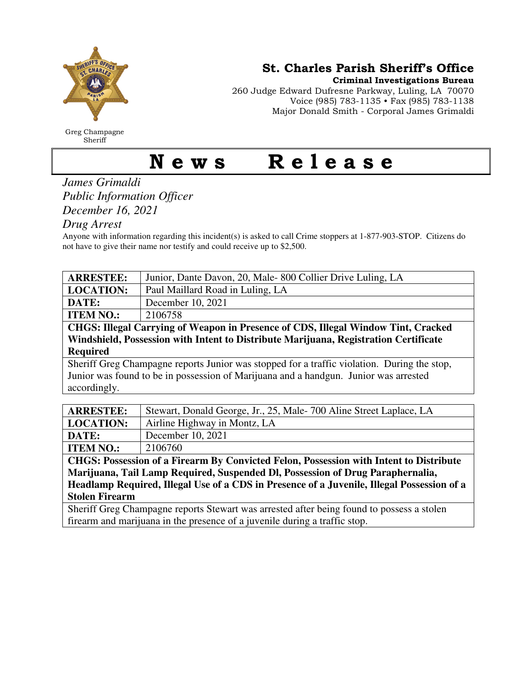

Greg Champagne Sheriff

St. Charles Parish Sheriff's Office

Criminal Investigations Bureau

260 Judge Edward Dufresne Parkway, Luling, LA 70070 Voice (985) 783-1135 • Fax (985) 783-1138 Major Donald Smith - Corporal James Grimaldi

## News Release

## *James Grimaldi Public Information Officer December 16, 2021*

*Drug Arrest* 

Anyone with information regarding this incident(s) is asked to call Crime stoppers at 1-877-903-STOP. Citizens do not have to give their name nor testify and could receive up to \$2,500.

| <b>ARRESTEE:</b>                                                                            | Junior, Dante Davon, 20, Male-800 Collier Drive Luling, LA         |
|---------------------------------------------------------------------------------------------|--------------------------------------------------------------------|
| <b>LOCATION:</b>                                                                            | Paul Maillard Road in Luling, LA                                   |
| DATE:                                                                                       | December 10, 2021                                                  |
| <b>ITEM NO.:</b>                                                                            | 2106758                                                            |
| CHGS: Illegal Carrying of Weapon in Presence of CDS, Illegal Window Tint, Cracked           |                                                                    |
| Windshield, Possession with Intent to Distribute Marijuana, Registration Certificate        |                                                                    |
| <b>Required</b>                                                                             |                                                                    |
| Sheriff Greg Champagne reports Junior was stopped for a traffic violation. During the stop, |                                                                    |
| Junior was found to be in possession of Marijuana and a handgun. Junior was arrested        |                                                                    |
| accordingly.                                                                                |                                                                    |
|                                                                                             |                                                                    |
| <b>ARRESTEE:</b>                                                                            | Stewart, Donald George, Jr., 25, Male-700 Aline Street Laplace, LA |
| <b>LOCATION:</b>                                                                            | Airline Highway in Montz, LA                                       |
| DATE:                                                                                       | December 10, 2021                                                  |
| <b>ITEM NO.:</b>                                                                            | 2106760                                                            |

**CHGS: Possession of a Firearm By Convicted Felon, Possession with Intent to Distribute Marijuana, Tail Lamp Required, Suspended Dl, Possession of Drug Paraphernalia, Headlamp Required, Illegal Use of a CDS in Presence of a Juvenile, Illegal Possession of a Stolen Firearm** 

Sheriff Greg Champagne reports Stewart was arrested after being found to possess a stolen firearm and marijuana in the presence of a juvenile during a traffic stop.